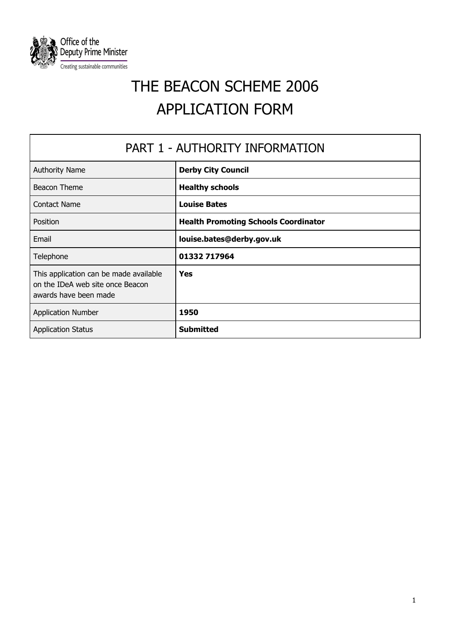

# THE BEACON SCHEME 2006 APPLICATION FORM

| PART 1 - AUTHORITY INFORMATION                                                                      |                                             |
|-----------------------------------------------------------------------------------------------------|---------------------------------------------|
| <b>Authority Name</b>                                                                               | <b>Derby City Council</b>                   |
| Beacon Theme                                                                                        | <b>Healthy schools</b>                      |
| <b>Contact Name</b>                                                                                 | <b>Louise Bates</b>                         |
| Position                                                                                            | <b>Health Promoting Schools Coordinator</b> |
| Email                                                                                               | louise.bates@derby.gov.uk                   |
| Telephone                                                                                           | 01332 717964                                |
| This application can be made available<br>on the IDeA web site once Beacon<br>awards have been made | <b>Yes</b>                                  |
| <b>Application Number</b>                                                                           | 1950                                        |
| <b>Application Status</b>                                                                           | <b>Submitted</b>                            |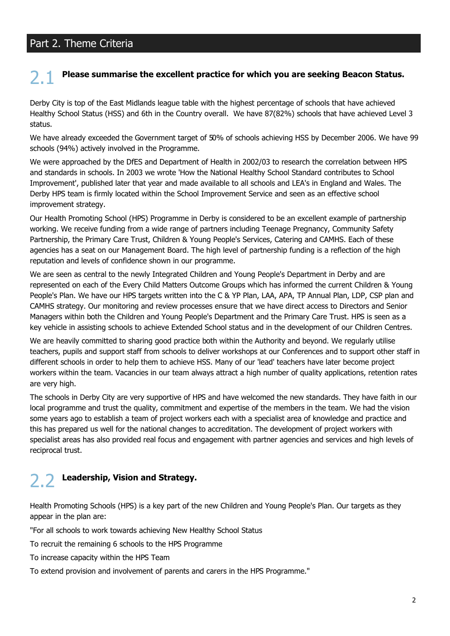## Part 2. Theme Criteria

# Please summarise the excellent practice for which you are seeking Beacon Status.

Derby City is top of the East Midlands league table with the highest percentage of schools that have achieved Healthy School Status (HSS) and 6th in the Country overall. We have 87(82%) schools that have achieved Level 3 status.

We have already exceeded the Government target of 50% of schools achieving HSS by December 2006. We have 99 schools (94%) actively involved in the Programme.

We were approached by the DfES and Department of Health in 2002/03 to research the correlation between HPS and standards in schools. In 2003 we wrote 'How the National Healthy School Standard contributes to School Improvement', published later that year and made available to all schools and LEA's in England and Wales. The Derby HPS team is firmly located within the School Improvement Service and seen as an effective school improvement strategy.

Our Health Promoting School (HPS) Programme in Derby is considered to be an excellent example of partnership working. We receive funding from a wide range of partners including Teenage Pregnancy, Community Safety Partnership, the Primary Care Trust, Children & Young People's Services, Catering and CAMHS. Each of these agencies has a seat on our Management Board. The high level of partnership funding is a reflection of the high reputation and levels of confidence shown in our programme.

We are seen as central to the newly Integrated Children and Young People's Department in Derby and are represented on each of the Every Child Matters Outcome Groups which has informed the current Children & Young People's Plan. We have our HPS targets written into the C & YP Plan, LAA, APA, TP Annual Plan, LDP, CSP plan and CAMHS strategy. Our monitoring and review processes ensure that we have direct access to Directors and Senior Managers within both the Children and Young People's Department and the Primary Care Trust. HPS is seen as a key vehicle in assisting schools to achieve Extended School status and in the development of our Children Centres.

We are heavily committed to sharing good practice both within the Authority and beyond. We regularly utilise teachers, pupils and support staff from schools to deliver workshops at our Conferences and to support other staff in different schools in order to help them to achieve HSS. Many of our 'lead' teachers have later become project workers within the team. Vacancies in our team always attract a high number of quality applications, retention rates are very high.

The schools in Derby City are very supportive of HPS and have welcomed the new standards. They have faith in our local programme and trust the quality, commitment and expertise of the members in the team. We had the vision some years ago to establish a team of project workers each with a specialist area of knowledge and practice and this has prepared us well for the national changes to accreditation. The development of project workers with specialist areas has also provided real focus and engagement with partner agencies and services and high levels of reciprocal trust.

## Leadership, Vision and Strategy.

Health Promoting Schools (HPS) is a key part of the new Children and Young People's Plan. Our targets as they appear in the plan are:

"For all schools to work towards achieving New Healthy School Status

To recruit the remaining 6 schools to the HPS Programme

To increase capacity within the HPS Team

To extend provision and involvement of parents and carers in the HPS Programme."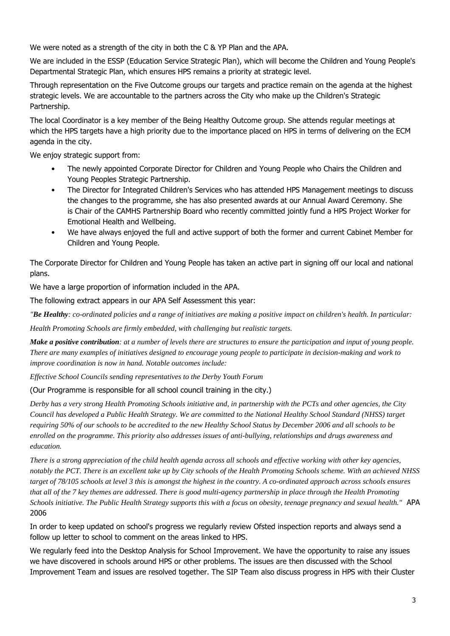We were noted as a strength of the city in both the C & YP Plan and the APA.

We are included in the ESSP (Education Service Strategic Plan), which will become the Children and Young People's Departmental Strategic Plan, which ensures HPS remains a priority at strategic level.

Through representation on the Five Outcome groups our targets and practice remain on the agenda at the highest strategic levels. We are accountable to the partners across the City who make up the Children's Strategic Partnership.

The local Coordinator is a key member of the Being Healthy Outcome group. She attends regular meetings at which the HPS targets have a high priority due to the importance placed on HPS in terms of delivering on the ECM agenda in the city.

We enjoy strategic support from:

- The newly appointed Corporate Director for Children and Young People who Chairs the Children and Young Peoples Strategic Partnership.
- The Director for Integrated Children's Services who has attended HPS Management meetings to discuss  $\bullet$ the changes to the programme, she has also presented awards at our Annual Award Ceremony. She is Chair of the CAMHS Partnership Board who recently committed jointly fund a HPS Project Worker for Emotional Health and Wellbeing.
- We have always enjoyed the full and active support of both the former and current Cabinet Member for  $\bullet$ Children and Young People.

The Corporate Director for Children and Young People has taken an active part in signing off our local and national plans.

We have a large proportion of information included in the APA.

The following extract appears in our APA Self Assessment this year:

"Be Healthy: co-ordinated policies and a range of initiatives are making a positive impact on children's health. In particular:

Health Promoting Schools are firmly embedded, with challenging but realistic targets.

**Make a positive contribution**: at a number of levels there are structures to ensure the participation and input of young people. There are many examples of initiatives designed to encourage young people to participate in decision-making and work to improve coordination is now in hand. Notable outcomes include:

Effective School Councils sending representatives to the Derby Youth Forum

(Our Programme is responsible for all school council training in the city.)

Derby has a very strong Health Promoting Schools initiative and, in partnership with the PCTs and other agencies, the City Council has developed a Public Health Strategy. We are committed to the National Healthy School Standard (NHSS) target requiring 50% of our schools to be accredited to the new Healthy School Status by December 2006 and all schools to be enrolled on the programme. This priority also addresses issues of anti-bullying, relationships and drugs awareness and education.

There is a strong appreciation of the child health agenda across all schools and effective working with other key agencies, notably the PCT. There is an excellent take up by City schools of the Health Promoting Schools scheme. With an achieved NHSS target of 78/105 schools at level 3 this is amongst the highest in the country. A co-ordinated approach across schools ensures that all of the 7 key themes are addressed. There is good multi-agency partnership in place through the Health Promoting Schools initiative. The Public Health Strategy supports this with a focus on obesity, teenage pregnancy and sexual health." APA 2006

In order to keep updated on school's progress we regularly review Ofsted inspection reports and always send a follow up letter to school to comment on the areas linked to HPS.

We regularly feed into the Desktop Analysis for School Improvement. We have the opportunity to raise any issues we have discovered in schools around HPS or other problems. The issues are then discussed with the School Improvement Team and issues are resolved together. The SIP Team also discuss progress in HPS with their Cluster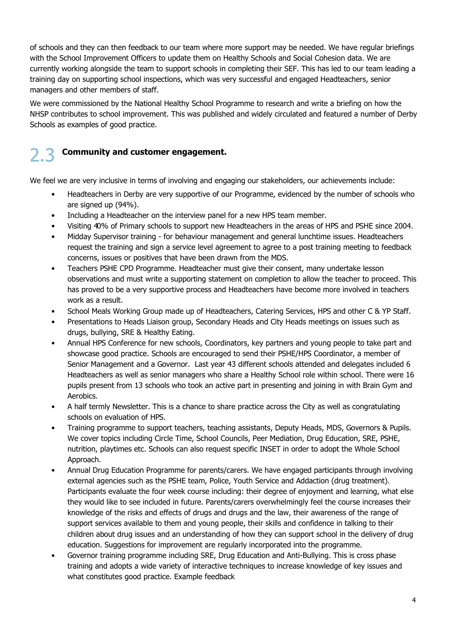of schools and they can then feedback to our team where more support may be needed. We have regular briefings with the School Improvement Officers to update them on Healthy Schools and Social Cohesion data. We are currently working alongside the team to support schools in completing their SEF. This has led to our team leading a training day on supporting school inspections, which was very successful and engaged Headteachers, senior managers and other members of staff.

We were commissioned by the National Healthy School Programme to research and write a briefing on how the NHSP contributes to school improvement. This was published and widely circulated and featured a number of Derby Schools as examples of good practice.

### **Community and customer engagement.**

We feel we are very inclusive in terms of involving and engaging our stakeholders, our achievements include:

- Headteachers in Derby are very supportive of our Programme, evidenced by the number of schools who are signed up (94%).
- Including a Headteacher on the interview panel for a new HPS team member.
- Visiting 40% of Primary schools to support new Headteachers in the areas of HPS and PSHE since 2004.
- Midday Supervisor training for behaviour management and general lunchtime issues. Headteachers request the training and sign a service level agreement to agree to a post training meeting to feedback concerns, issues or positives that have been drawn from the MDS.
- Teachers PSHE CPD Programme. Headteacher must give their consent, many undertake lesson  $\bullet$ observations and must write a supporting statement on completion to allow the teacher to proceed. This has proved to be a very supportive process and Headteachers have become more involved in teachers work as a result.
- School Meals Working Group made up of Headteachers, Catering Services, HPS and other C & YP Staff.
- Presentations to Heads Liaison group, Secondary Heads and City Heads meetings on issues such as drugs, bullying, SRE & Healthy Eating.
- Annual HPS Conference for new schools, Coordinators, key partners and young people to take part and showcase good practice. Schools are encouraged to send their PSHE/HPS Coordinator, a member of Senior Management and a Governor. Last year 43 different schools attended and delegates included 6 Headteachers as well as senior managers who share a Healthy School role within school. There were 16 pupils present from 13 schools who took an active part in presenting and joining in with Brain Gym and Aerobics.
- A half termly Newsletter. This is a chance to share practice across the City as well as congratulating schools on evaluation of HPS.
- Training programme to support teachers, teaching assistants, Deputy Heads, MDS, Governors & Pupils, We cover topics including Circle Time, School Councils, Peer Mediation, Drug Education, SRE, PSHE, nutrition, playtimes etc. Schools can also request specific INSET in order to adopt the Whole School Approach.
- Annual Drug Education Programme for parents/carers. We have engaged participants through involving external agencies such as the PSHE team, Police, Youth Service and Addaction (drug treatment). Participants evaluate the four week course including: their degree of enjoyment and learning, what else they would like to see included in future. Parents/carers overwhelmingly feel the course increases their knowledge of the risks and effects of drugs and drugs and the law, their awareness of the range of support services available to them and young people, their skills and confidence in talking to their children about drug issues and an understanding of how they can support school in the delivery of drug education. Suggestions for improvement are regularly incorporated into the programme.
- Governor training programme including SRE, Drug Education and Anti-Bullying. This is cross phase training and adopts a wide variety of interactive techniques to increase knowledge of key issues and what constitutes good practice. Example feedback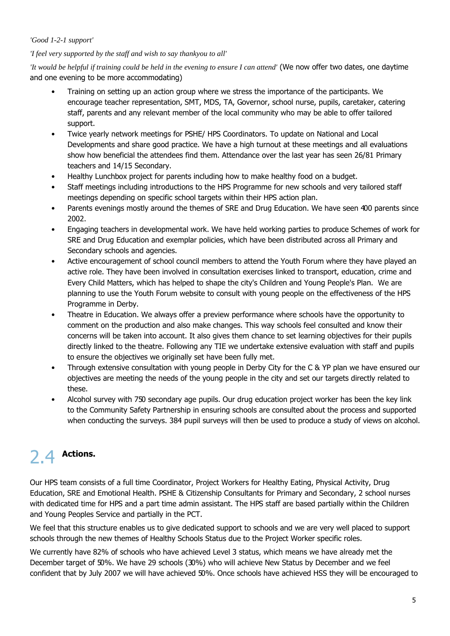#### 'Good 1-2-1 support'

#### 'I feel very supported by the staff and wish to say thankyou to all'

'It would be helpful if training could be held in the evening to ensure I can attend' (We now offer two dates, one daytime and one evening to be more accommodating)

- Training on setting up an action group where we stress the importance of the participants. We encourage teacher representation, SMT, MDS, TA, Governor, school nurse, pupils, caretaker, catering staff, parents and any relevant member of the local community who may be able to offer tailored support.
- Twice yearly network meetings for PSHE/ HPS Coordinators. To update on National and Local Developments and share good practice. We have a high turnout at these meetings and all evaluations show how beneficial the attendees find them. Attendance over the last year has seen 26/81 Primary teachers and 14/15 Secondary.
- Healthy Lunchbox project for parents including how to make healthy food on a budget.
- Staff meetings including introductions to the HPS Programme for new schools and very tailored staff meetings depending on specific school targets within their HPS action plan.
- Parents evenings mostly around the themes of SRE and Drug Education. We have seen 400 parents since 2002.
- Engaging teachers in developmental work. We have held working parties to produce Schemes of work for SRE and Drug Education and exemplar policies, which have been distributed across all Primary and Secondary schools and agencies.
- Active encouragement of school council members to attend the Youth Forum where they have played an active role. They have been involved in consultation exercises linked to transport, education, crime and Every Child Matters, which has helped to shape the city's Children and Young People's Plan. We are planning to use the Youth Forum website to consult with young people on the effectiveness of the HPS Programme in Derby.
- Theatre in Education. We always offer a preview performance where schools have the opportunity to comment on the production and also make changes. This way schools feel consulted and know their concerns will be taken into account. It also gives them chance to set learning objectives for their pupils directly linked to the theatre. Following any TIE we undertake extensive evaluation with staff and pupils to ensure the objectives we originally set have been fully met.
- Through extensive consultation with young people in Derby City for the C & YP plan we have ensured our  $\bullet$ objectives are meeting the needs of the young people in the city and set our targets directly related to these.
- Alcohol survey with 750 secondary age pupils. Our drug education project worker has been the key link to the Community Safety Partnership in ensuring schools are consulted about the process and supported when conducting the surveys. 384 pupil surveys will then be used to produce a study of views on alcohol.

#### **Actions.**  $24$

Our HPS team consists of a full time Coordinator, Project Workers for Healthy Eating, Physical Activity, Drug Education, SRE and Emotional Health. PSHE & Citizenship Consultants for Primary and Secondary, 2 school nurses with dedicated time for HPS and a part time admin assistant. The HPS staff are based partially within the Children and Young Peoples Service and partially in the PCT.

We feel that this structure enables us to give dedicated support to schools and we are very well placed to support schools through the new themes of Healthy Schools Status due to the Project Worker specific roles.

We currently have 82% of schools who have achieved Level 3 status, which means we have already met the December target of 50%. We have 29 schools (30%) who will achieve New Status by December and we feel confident that by July 2007 we will have achieved 50%. Once schools have achieved HSS they will be encouraged to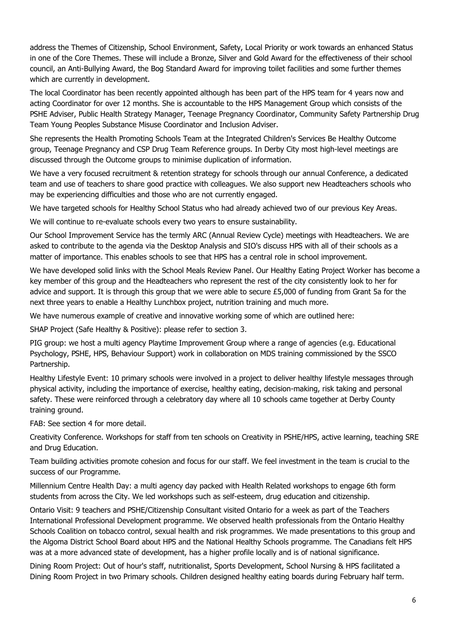address the Themes of Citizenship, School Environment, Safety, Local Priority or work towards an enhanced Status in one of the Core Themes. These will include a Bronze, Silver and Gold Award for the effectiveness of their school council, an Anti-Bullying Award, the Bog Standard Award for improving toilet facilities and some further themes which are currently in development.

The local Coordinator has been recently appointed although has been part of the HPS team for 4 years now and acting Coordinator for over 12 months. She is accountable to the HPS Management Group which consists of the PSHE Adviser, Public Health Strategy Manager, Teenage Pregnancy Coordinator, Community Safety Partnership Drug Team Young Peoples Substance Misuse Coordinator and Inclusion Adviser.

She represents the Health Promoting Schools Team at the Integrated Children's Services Be Healthy Outcome group, Teenage Pregnancy and CSP Drug Team Reference groups. In Derby City most high-level meetings are discussed through the Outcome groups to minimise duplication of information.

We have a very focused recruitment & retention strategy for schools through our annual Conference, a dedicated team and use of teachers to share good practice with colleagues. We also support new Headteachers schools who may be experiencing difficulties and those who are not currently engaged.

We have targeted schools for Healthy School Status who had already achieved two of our previous Key Areas.

We will continue to re-evaluate schools every two years to ensure sustainability.

Our School Improvement Service has the termly ARC (Annual Review Cycle) meetings with Headteachers. We are asked to contribute to the agenda via the Desktop Analysis and SIO's discuss HPS with all of their schools as a matter of importance. This enables schools to see that HPS has a central role in school improvement.

We have developed solid links with the School Meals Review Panel. Our Healthy Eating Project Worker has become a key member of this group and the Headteachers who represent the rest of the city consistently look to her for advice and support. It is through this group that we were able to secure £5,000 of funding from Grant 5a for the next three years to enable a Healthy Lunchbox project, nutrition training and much more.

We have numerous example of creative and innovative working some of which are outlined here:

SHAP Project (Safe Healthy & Positive): please refer to section 3.

PIG group: we host a multi agency Playtime Improvement Group where a range of agencies (e.g. Educational Psychology, PSHE, HPS, Behaviour Support) work in collaboration on MDS training commissioned by the SSCO Partnership.

Healthy Lifestyle Event: 10 primary schools were involved in a project to deliver healthy lifestyle messages through physical activity, including the importance of exercise, healthy eating, decision-making, risk taking and personal safety. These were reinforced through a celebratory day where all 10 schools came together at Derby County training ground.

FAB: See section 4 for more detail.

Creativity Conference. Workshops for staff from ten schools on Creativity in PSHE/HPS, active learning, teaching SRE and Drug Education.

Team building activities promote cohesion and focus for our staff. We feel investment in the team is crucial to the success of our Programme.

Millennium Centre Health Day: a multi agency day packed with Health Related workshops to engage 6th form students from across the City. We led workshops such as self-esteem, drug education and citizenship.

Ontario Visit: 9 teachers and PSHE/Citizenship Consultant visited Ontario for a week as part of the Teachers International Professional Development programme. We observed health professionals from the Ontario Healthy Schools Coalition on tobacco control, sexual health and risk programmes. We made presentations to this group and the Algoma District School Board about HPS and the National Healthy Schools programme. The Canadians felt HPS was at a more advanced state of development, has a higher profile locally and is of national significance.

Dining Room Project: Out of hour's staff, nutritionalist, Sports Development, School Nursing & HPS facilitated a Dining Room Project in two Primary schools. Children designed healthy eating boards during February half term.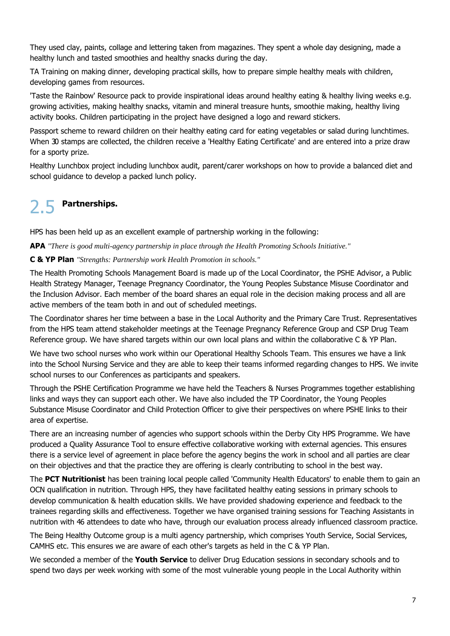They used clay, paints, collage and lettering taken from magazines. They spent a whole day designing, made a healthy lunch and tasted smoothies and healthy snacks during the day.

TA Training on making dinner, developing practical skills, how to prepare simple healthy meals with children, developing games from resources.

'Taste the Rainbow' Resource pack to provide inspirational ideas around healthy eating & healthy living weeks e.g. growing activities, making healthy snacks, vitamin and mineral treasure hunts, smoothie making, healthy living activity books. Children participating in the project have designed a logo and reward stickers.

Passport scheme to reward children on their healthy eating card for eating vegetables or salad during lunchtimes. When 30 stamps are collected, the children receive a 'Healthy Eating Certificate' and are entered into a prize draw for a sporty prize.

Healthy Lunchbox project including lunchbox audit, parent/carer workshops on how to provide a balanced diet and school quidance to develop a packed lunch policy.

#### 25 Partnerships.

HPS has been held up as an excellent example of partnership working in the following:

**APA** "There is good multi-agency partnership in place through the Health Promoting Schools Initiative."

#### C & YP Plan "Strengths: Partnership work Health Promotion in schools."

The Health Promoting Schools Management Board is made up of the Local Coordinator, the PSHE Advisor, a Public Health Strategy Manager, Teenage Pregnancy Coordinator, the Young Peoples Substance Misuse Coordinator and the Inclusion Advisor. Each member of the board shares an equal role in the decision making process and all are active members of the team both in and out of scheduled meetings.

The Coordinator shares her time between a base in the Local Authority and the Primary Care Trust. Representatives from the HPS team attend stakeholder meetings at the Teenage Pregnancy Reference Group and CSP Drug Team Reference group. We have shared targets within our own local plans and within the collaborative C & YP Plan.

We have two school nurses who work within our Operational Healthy Schools Team. This ensures we have a link into the School Nursing Service and they are able to keep their teams informed regarding changes to HPS. We invite school nurses to our Conferences as participants and speakers.

Through the PSHE Certification Programme we have held the Teachers & Nurses Programmes together establishing links and ways they can support each other. We have also included the TP Coordinator, the Young Peoples Substance Misuse Coordinator and Child Protection Officer to give their perspectives on where PSHE links to their area of expertise.

There are an increasing number of agencies who support schools within the Derby City HPS Programme. We have produced a Quality Assurance Tool to ensure effective collaborative working with external agencies. This ensures there is a service level of agreement in place before the agency begins the work in school and all parties are clear on their objectives and that the practice they are offering is clearly contributing to school in the best way.

The PCT Nutritionist has been training local people called 'Community Health Educators' to enable them to gain an OCN qualification in nutrition. Through HPS, they have facilitated healthy eating sessions in primary schools to develop communication & health education skills. We have provided shadowing experience and feedback to the trainees regarding skills and effectiveness. Together we have organised training sessions for Teaching Assistants in nutrition with 46 attendees to date who have, through our evaluation process already influenced classroom practice.

The Being Healthy Outcome group is a multi agency partnership, which comprises Youth Service, Social Services, CAMHS etc. This ensures we are aware of each other's targets as held in the C & YP Plan.

We seconded a member of the Youth Service to deliver Drug Education sessions in secondary schools and to spend two days per week working with some of the most vulnerable young people in the Local Authority within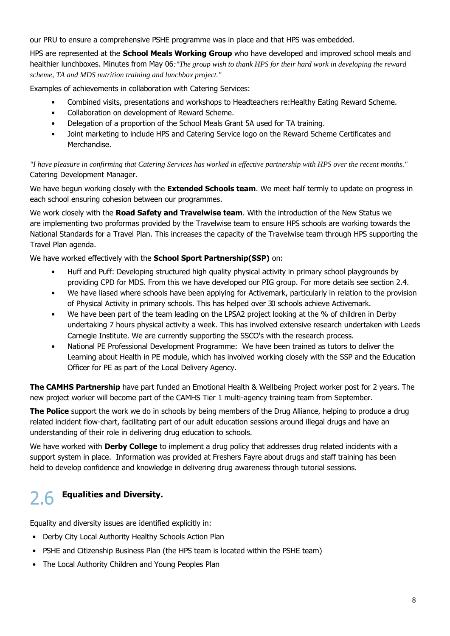our PRU to ensure a comprehensive PSHE programme was in place and that HPS was embedded.

HPS are represented at the School Meals Working Group who have developed and improved school meals and healthier lunchboxes. Minutes from May 06: "The group wish to thank HPS for their hard work in developing the reward scheme, TA and MDS nutrition training and lunchbox project."

Examples of achievements in collaboration with Catering Services:

- Combined visits, presentations and workshops to Headteachers re: Healthy Eating Reward Scheme.
- Collaboration on development of Reward Scheme.
- Delegation of a proportion of the School Meals Grant 5A used for TA training.
- Joint marketing to include HPS and Catering Service logo on the Reward Scheme Certificates and Merchandise.

"I have pleasure in confirming that Catering Services has worked in effective partnership with HPS over the recent months." Catering Development Manager.

We have begun working closely with the **Extended Schools team**. We meet half termly to update on progress in each school ensuring cohesion between our programmes.

We work closely with the Road Safety and Travelwise team. With the introduction of the New Status we are implementing two proformas provided by the Travelwise team to ensure HPS schools are working towards the National Standards for a Travel Plan. This increases the capacity of the Travelwise team through HPS supporting the Travel Plan agenda.

We have worked effectively with the School Sport Partnership(SSP) on:

- $\bullet$ Huff and Puff: Developing structured high quality physical activity in primary school playgrounds by providing CPD for MDS. From this we have developed our PIG group. For more details see section 2.4.
- We have liased where schools have been applying for Activemark, particularly in relation to the provision of Physical Activity in primary schools. This has helped over 30 schools achieve Activemark.
- We have been part of the team leading on the LPSA2 project looking at the % of children in Derby undertaking 7 hours physical activity a week. This has involved extensive research undertaken with Leeds Carnegie Institute. We are currently supporting the SSCO's with the research process.
- National PE Professional Development Programme: We have been trained as tutors to deliver the Learning about Health in PE module, which has involved working closely with the SSP and the Education Officer for PE as part of the Local Delivery Agency.

The CAMHS Partnership have part funded an Emotional Health & Wellbeing Project worker post for 2 years. The new project worker will become part of the CAMHS Tier 1 multi-agency training team from September.

The Police support the work we do in schools by being members of the Drug Alliance, helping to produce a drug related incident flow-chart, facilitating part of our adult education sessions around illegal drugs and have an understanding of their role in delivering drug education to schools.

We have worked with **Derby College** to implement a drug policy that addresses drug related incidents with a support system in place. Information was provided at Freshers Fayre about drugs and staff training has been held to develop confidence and knowledge in delivering drug awareness through tutorial sessions.

#### **Equalities and Diversity.** 26

Equality and diversity issues are identified explicitly in:

- Derby City Local Authority Healthy Schools Action Plan
- PSHE and Citizenship Business Plan (the HPS team is located within the PSHE team)
- The Local Authority Children and Young Peoples Plan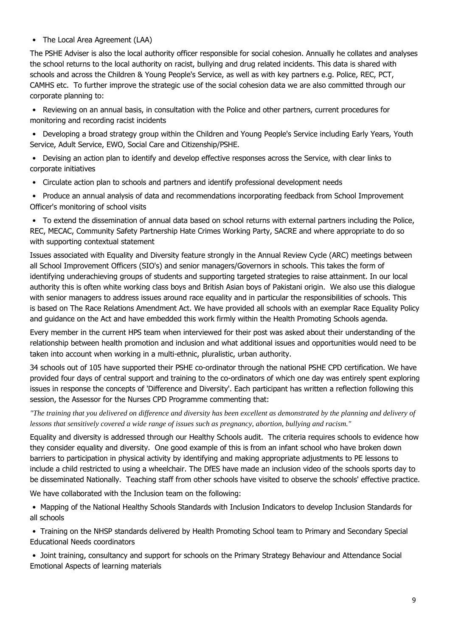#### • The Local Area Agreement (LAA)

The PSHE Adviser is also the local authority officer responsible for social cohesion. Annually he collates and analyses the school returns to the local authority on racist, bullying and drug related incidents. This data is shared with schools and across the Children & Young People's Service, as well as with key partners e.g. Police, REC, PCT, CAMHS etc. To further improve the strategic use of the social cohesion data we are also committed through our corporate planning to:

 $\bullet$ Reviewing on an annual basis, in consultation with the Police and other partners, current procedures for monitoring and recording racist incidents

• Developing a broad strategy group within the Children and Young People's Service including Early Years, Youth Service, Adult Service, EWO, Social Care and Citizenship/PSHE.

- Devising an action plan to identify and develop effective responses across the Service, with clear links to corporate initiatives
- Circulate action plan to schools and partners and identify professional development needs
- Produce an annual analysis of data and recommendations incorporating feedback from School Improvement Officer's monitoring of school visits

• To extend the dissemination of annual data based on school returns with external partners including the Police, REC, MECAC, Community Safety Partnership Hate Crimes Working Party, SACRE and where appropriate to do so with supporting contextual statement

Issues associated with Equality and Diversity feature strongly in the Annual Review Cycle (ARC) meetings between all School Improvement Officers (SIO's) and senior managers/Governors in schools. This takes the form of identifying underachieving groups of students and supporting targeted strategies to raise attainment. In our local authority this is often white working class boys and British Asian boys of Pakistani origin. We also use this dialogue with senior managers to address issues around race equality and in particular the responsibilities of schools. This is based on The Race Relations Amendment Act. We have provided all schools with an exemplar Race Equality Policy and quidance on the Act and have embedded this work firmly within the Health Promoting Schools agenda.

Every member in the current HPS team when interviewed for their post was asked about their understanding of the relationship between health promotion and inclusion and what additional issues and opportunities would need to be taken into account when working in a multi-ethnic, pluralistic, urban authority.

34 schools out of 105 have supported their PSHE co-ordinator through the national PSHE CPD certification. We have provided four days of central support and training to the co-ordinators of which one day was entirely spent exploring issues in response the concepts of 'Difference and Diversity'. Each participant has written a reflection following this session, the Assessor for the Nurses CPD Programme commenting that:

"The training that you delivered on difference and diversity has been excellent as demonstrated by the planning and delivery of lessons that sensitively covered a wide range of issues such as pregnancy, abortion, bullying and racism."

Equality and diversity is addressed through our Healthy Schools audit. The criteria requires schools to evidence how they consider equality and diversity. One good example of this is from an infant school who have broken down barriers to participation in physical activity by identifying and making appropriate adjustments to PE lessons to include a child restricted to using a wheelchair. The DfES have made an inclusion video of the schools sports day to be disseminated Nationally. Teaching staff from other schools have visited to observe the schools' effective practice.

We have collaborated with the Inclusion team on the following:

• Mapping of the National Healthy Schools Standards with Inclusion Indicators to develop Inclusion Standards for all schools

• Training on the NHSP standards delivered by Health Promoting School team to Primary and Secondary Special **Educational Needs coordinators** 

• Joint training, consultancy and support for schools on the Primary Strategy Behaviour and Attendance Social Emotional Aspects of learning materials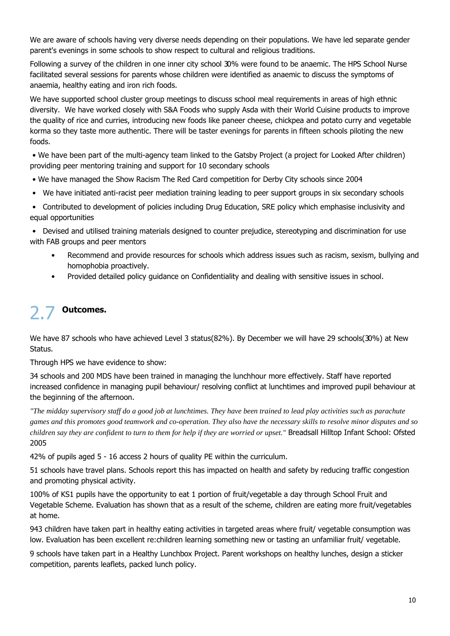We are aware of schools having very diverse needs depending on their populations. We have led separate gender parent's evenings in some schools to show respect to cultural and religious traditions.

Following a survey of the children in one inner city school 30% were found to be anaemic. The HPS School Nurse facilitated several sessions for parents whose children were identified as anaemic to discuss the symptoms of anaemia, healthy eating and iron rich foods.

We have supported school cluster group meetings to discuss school meal requirements in areas of high ethnic diversity. We have worked closely with S&A Foods who supply Asda with their World Cuisine products to improve the quality of rice and curries, introducing new foods like paneer cheese, chickpea and potato curry and vegetable korma so they taste more authentic. There will be taster evenings for parents in fifteen schools piloting the new foods.

. We have been part of the multi-agency team linked to the Gatsby Project (a project for Looked After children) providing peer mentoring training and support for 10 secondary schools

- . We have managed the Show Racism The Red Card competition for Derby City schools since 2004
- We have initiated anti-racist peer mediation training leading to peer support groups in six secondary schools

• Contributed to development of policies including Drug Education, SRE policy which emphasise inclusivity and equal opportunities

• Devised and utilised training materials designed to counter prejudice, stereotyping and discrimination for use with FAB groups and peer mentors

- Recommend and provide resources for schools which address issues such as racism, sexism, bullying and  $\bullet$ homophobia proactively.
- Provided detailed policy guidance on Confidentiality and dealing with sensitive issues in school.

## **Outcomes.**

We have 87 schools who have achieved Level 3 status(82%). By December we will have 29 schools(30%) at New Status.

Through HPS we have evidence to show:

34 schools and 200 MDS have been trained in managing the lunchhour more effectively. Staff have reported increased confidence in managing pupil behaviour/ resolving conflict at lunchtimes and improved pupil behaviour at the beginning of the afternoon.

"The midday supervisory staff do a good job at lunchtimes. They have been trained to lead play activities such as parachute games and this promotes good teamwork and co-operation. They also have the necessary skills to resolve minor disputes and so children say they are confident to turn to them for help if they are worried or upset." Breadsall Hilltop Infant School: Ofsted 2005

42% of pupils aged 5 - 16 access 2 hours of quality PE within the curriculum.

51 schools have travel plans. Schools report this has impacted on health and safety by reducing traffic congestion and promoting physical activity.

100% of KS1 pupils have the opportunity to eat 1 portion of fruit/vegetable a day through School Fruit and Vegetable Scheme. Evaluation has shown that as a result of the scheme, children are eating more fruit/vegetables at home.

943 children have taken part in healthy eating activities in targeted areas where fruit/ vegetable consumption was low. Evaluation has been excellent re:children learning something new or tasting an unfamiliar fruit/ vegetable.

9 schools have taken part in a Healthy Lunchbox Project. Parent workshops on healthy lunches, design a sticker competition, parents leaflets, packed lunch policy.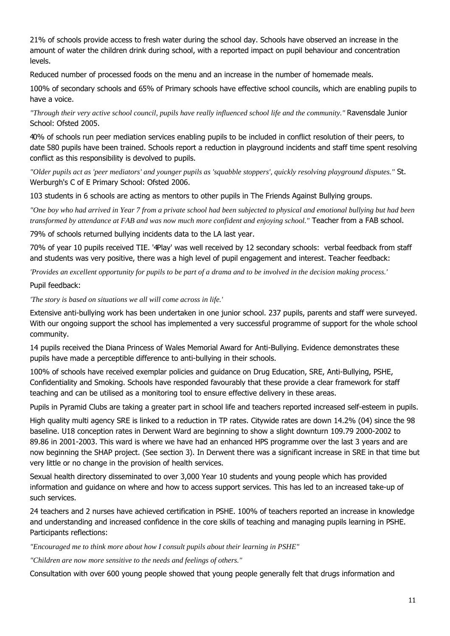21% of schools provide access to fresh water during the school day. Schools have observed an increase in the amount of water the children drink during school, with a reported impact on pupil behaviour and concentration levels.

Reduced number of processed foods on the menu and an increase in the number of homemade meals.

100% of secondary schools and 65% of Primary schools have effective school councils, which are enabling pupils to have a voice.

"Through their very active school council, pupils have really influenced school life and the community." Ravensdale Junior School: Ofsted 2005.

40% of schools run peer mediation services enabling pupils to be included in conflict resolution of their peers, to date 580 pupils have been trained. Schools report a reduction in playground incidents and staff time spent resolving conflict as this responsibility is devolved to pupils.

"Older pupils act as 'peer mediators' and younger pupils as 'squabble stoppers', quickly resolving playground disputes." St. Werburgh's C of E Primary School: Ofsted 2006.

103 students in 6 schools are acting as mentors to other pupils in The Friends Against Bullying groups.

"One boy who had arrived in Year 7 from a private school had been subjected to physical and emotional bullying but had been transformed by attendance at FAB and was now much more confident and enjoying school." Teacher from a FAB school.

79% of schools returned bullying incidents data to the LA last year.

70% of year 10 pupils received TIE. '4Play' was well received by 12 secondary schools: verbal feedback from staff and students was very positive, there was a high level of pupil engagement and interest. Teacher feedback:

'Provides an excellent opportunity for pupils to be part of a drama and to be involved in the decision making process.'

#### Pupil feedback:

'The story is based on situations we all will come across in life.'

Extensive anti-bullying work has been undertaken in one junior school. 237 pupils, parents and staff were surveyed. With our ongoing support the school has implemented a very successful programme of support for the whole school community.

14 pupils received the Diana Princess of Wales Memorial Award for Anti-Bullying. Evidence demonstrates these pupils have made a perceptible difference to anti-bullying in their schools.

100% of schools have received exemplar policies and quidance on Drug Education, SRE, Anti-Bullying, PSHE, Confidentiality and Smoking. Schools have responded favourably that these provide a clear framework for staff teaching and can be utilised as a monitoring tool to ensure effective delivery in these areas.

Pupils in Pyramid Clubs are taking a greater part in school life and teachers reported increased self-esteem in pupils.

High quality multi agency SRE is linked to a reduction in TP rates. Citywide rates are down 14.2% (04) since the 98 baseline. U18 conception rates in Derwent Ward are beginning to show a slight downturn 109.79 2000-2002 to 89.86 in 2001-2003. This ward is where we have had an enhanced HPS programme over the last 3 years and are now beginning the SHAP project. (See section 3). In Derwent there was a significant increase in SRE in that time but very little or no change in the provision of health services.

Sexual health directory disseminated to over 3,000 Year 10 students and young people which has provided information and quidance on where and how to access support services. This has led to an increased take-up of such services.

24 teachers and 2 nurses have achieved certification in PSHE. 100% of teachers reported an increase in knowledge and understanding and increased confidence in the core skills of teaching and managing pupils learning in PSHE. Participants reflections:

"Encouraged me to think more about how I consult pupils about their learning in PSHE"

"Children are now more sensitive to the needs and feelings of others."

Consultation with over 600 young people showed that young people generally felt that drugs information and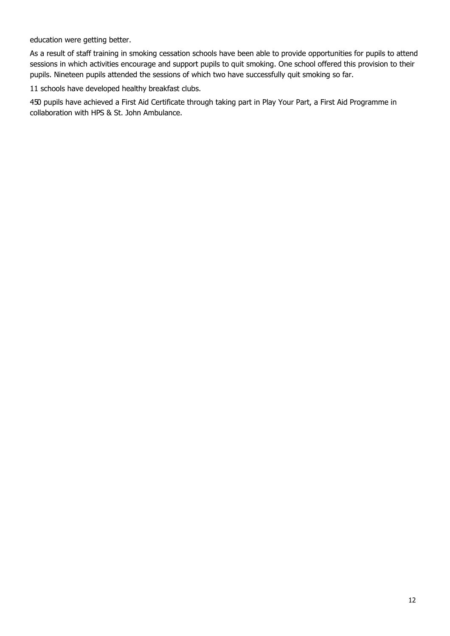education were getting better.

As a result of staff training in smoking cessation schools have been able to provide opportunities for pupils to attend sessions in which activities encourage and support pupils to quit smoking. One school offered this provision to their pupils. Nineteen pupils attended the sessions of which two have successfully quit smoking so far.

11 schools have developed healthy breakfast clubs.

450 pupils have achieved a First Aid Certificate through taking part in Play Your Part, a First Aid Programme in collaboration with HPS & St. John Ambulance.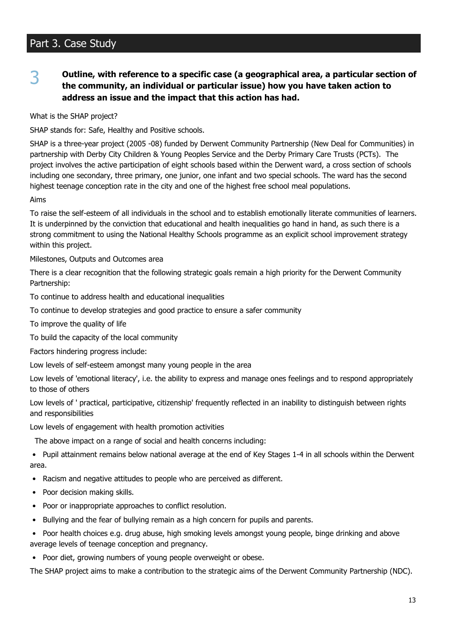## Part 3. Case Study

#### Outline, with reference to a specific case (a geographical area, a particular section of 3 the community, an individual or particular issue) how you have taken action to address an issue and the impact that this action has had.

What is the SHAP project?

SHAP stands for: Safe, Healthy and Positive schools.

SHAP is a three-year project (2005 -08) funded by Derwent Community Partnership (New Deal for Communities) in partnership with Derby City Children & Young Peoples Service and the Derby Primary Care Trusts (PCTs). The project involves the active participation of eight schools based within the Derwent ward, a cross section of schools including one secondary, three primary, one junior, one infant and two special schools. The ward has the second highest teenage conception rate in the city and one of the highest free school meal populations.

#### Aims

To raise the self-esteem of all individuals in the school and to establish emotionally literate communities of learners. It is underpinned by the conviction that educational and health inequalities go hand in hand, as such there is a strong commitment to using the National Healthy Schools programme as an explicit school improvement strategy within this project.

Milestones, Outputs and Outcomes area

There is a clear recognition that the following strategic goals remain a high priority for the Derwent Community Partnership:

To continue to address health and educational inequalities

To continue to develop strategies and good practice to ensure a safer community

To improve the quality of life

To build the capacity of the local community

Factors hindering progress include:

Low levels of self-esteem amongst many young people in the area

Low levels of 'emotional literacy', i.e. the ability to express and manage ones feelings and to respond appropriately to those of others

Low levels of ' practical, participative, citizenship' frequently reflected in an inability to distinguish between rights and responsibilities

Low levels of engagement with health promotion activities

The above impact on a range of social and health concerns including:

• Pupil attainment remains below national average at the end of Key Stages 1-4 in all schools within the Derwent area.

- Racism and negative attitudes to people who are perceived as different.
- Poor decision making skills.
- Poor or inappropriate approaches to conflict resolution.
- Bullying and the fear of bullying remain as a high concern for pupils and parents.
- Poor health choices e.g. drug abuse, high smoking levels amongst young people, binge drinking and above  $\bullet$ average levels of teenage conception and pregnancy.
- Poor diet, growing numbers of young people overweight or obese.

The SHAP project aims to make a contribution to the strategic aims of the Derwent Community Partnership (NDC).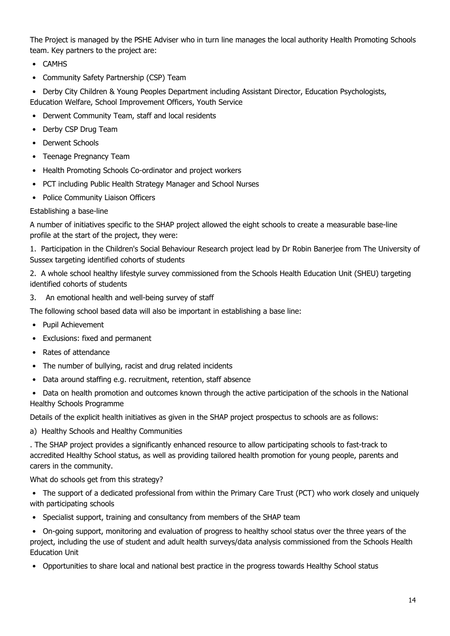The Project is managed by the PSHE Adviser who in turn line manages the local authority Health Promoting Schools team. Key partners to the project are:

- CAMHS
- Community Safety Partnership (CSP) Team  $\bullet$

Derby City Children & Young Peoples Department including Assistant Director, Education Psychologists,  $\bullet$ Education Welfare, School Improvement Officers, Youth Service

- Derwent Community Team, staff and local residents
- Derby CSP Drug Team
- Derwent Schools  $\bullet$
- Teenage Pregnancy Team
- Health Promoting Schools Co-ordinator and project workers
- PCT including Public Health Strategy Manager and School Nurses
- Police Community Liaison Officers

#### Establishing a base-line

A number of initiatives specific to the SHAP project allowed the eight schools to create a measurable base-line profile at the start of the project, they were:

1. Participation in the Children's Social Behaviour Research project lead by Dr Robin Banerjee from The University of Sussex targeting identified cohorts of students

2. A whole school healthy lifestyle survey commissioned from the Schools Health Education Unit (SHEU) targeting identified cohorts of students

An emotional health and well-being survey of staff  $\mathcal{F}$ 

The following school based data will also be important in establishing a base line:

- Pupil Achievement
- Exclusions: fixed and permanent
- Rates of attendance
- The number of bullying, racist and drug related incidents
- Data around staffing e.g. recruitment, retention, staff absence  $\bullet$
- Data on health promotion and outcomes known through the active participation of the schools in the National **Healthy Schools Programme**

Details of the explicit health initiatives as given in the SHAP project prospectus to schools are as follows:

a) Healthy Schools and Healthy Communities

. The SHAP project provides a significantly enhanced resource to allow participating schools to fast-track to accredited Healthy School status, as well as providing tailored health promotion for young people, parents and carers in the community.

What do schools get from this strategy?

• The support of a dedicated professional from within the Primary Care Trust (PCT) who work closely and uniquely with participating schools

• Specialist support, training and consultancy from members of the SHAP team

• On-going support, monitoring and evaluation of progress to healthy school status over the three years of the project, including the use of student and adult health surveys/data analysis commissioned from the Schools Health **Education Unit** 

• Opportunities to share local and national best practice in the progress towards Healthy School status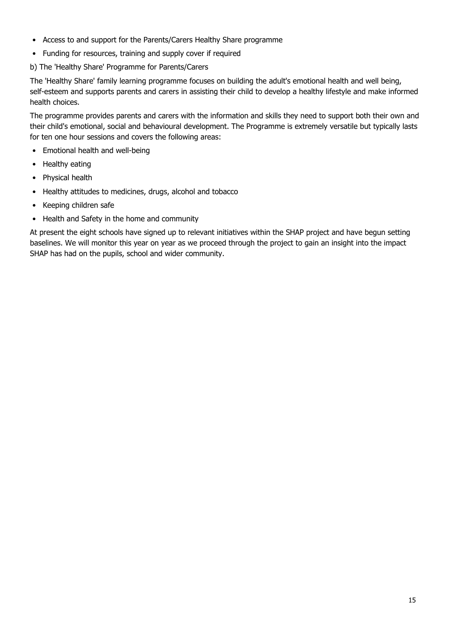- Access to and support for the Parents/Carers Healthy Share programme
- Funding for resources, training and supply cover if required

b) The 'Healthy Share' Programme for Parents/Carers

The 'Healthy Share' family learning programme focuses on building the adult's emotional health and well being, self-esteem and supports parents and carers in assisting their child to develop a healthy lifestyle and make informed health choices.

The programme provides parents and carers with the information and skills they need to support both their own and their child's emotional, social and behavioural development. The Programme is extremely versatile but typically lasts for ten one hour sessions and covers the following areas:

- Emotional health and well-being
- Healthy eating
- Physical health
- Healthy attitudes to medicines, drugs, alcohol and tobacco
- Keeping children safe  $\bullet$
- Health and Safety in the home and community

At present the eight schools have signed up to relevant initiatives within the SHAP project and have begun setting baselines. We will monitor this year on year as we proceed through the project to gain an insight into the impact SHAP has had on the pupils, school and wider community.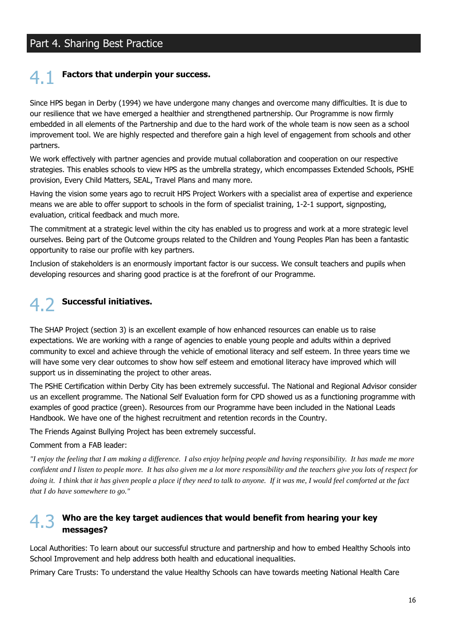### Part 4. Sharing Best Practice

## Factors that underpin your success.

Since HPS began in Derby (1994) we have undergone many changes and overcome many difficulties. It is due to our resilience that we have emerged a healthier and strengthened partnership. Our Programme is now firmly embedded in all elements of the Partnership and due to the hard work of the whole team is now seen as a school improvement tool. We are highly respected and therefore gain a high level of engagement from schools and other partners.

We work effectively with partner agencies and provide mutual collaboration and cooperation on our respective strategies. This enables schools to view HPS as the umbrella strategy, which encompasses Extended Schools, PSHE provision, Every Child Matters, SEAL, Travel Plans and many more.

Having the vision some years ago to recruit HPS Project Workers with a specialist area of expertise and experience means we are able to offer support to schools in the form of specialist training, 1-2-1 support, signposting, evaluation, critical feedback and much more.

The commitment at a strategic level within the city has enabled us to progress and work at a more strategic level ourselves. Being part of the Outcome groups related to the Children and Young Peoples Plan has been a fantastic opportunity to raise our profile with key partners.

Inclusion of stakeholders is an enormously important factor is our success. We consult teachers and pupils when developing resources and sharing good practice is at the forefront of our Programme.

## 4 7 Successful initiatives.

The SHAP Project (section 3) is an excellent example of how enhanced resources can enable us to raise expectations. We are working with a range of agencies to enable young people and adults within a deprived community to excel and achieve through the vehicle of emotional literacy and self esteem. In three years time we will have some very clear outcomes to show how self esteem and emotional literacy have improved which will support us in disseminating the project to other areas.

The PSHE Certification within Derby City has been extremely successful. The National and Regional Advisor consider us an excellent programme. The National Self Evaluation form for CPD showed us as a functioning programme with examples of good practice (green). Resources from our Programme have been included in the National Leads Handbook. We have one of the highest recruitment and retention records in the Country.

The Friends Against Bullying Project has been extremely successful.

#### Comment from a FAB leader:

"I enjoy the feeling that I am making a difference. I also enjoy helping people and having responsibility. It has made me more confident and I listen to people more. It has also given me a lot more responsibility and the teachers give you lots of respect for doing it. I think that it has given people a place if they need to talk to anyone. If it was me, I would feel comforted at the fact that I do have somewhere to go."

### $4.3$  Who are the key target audiences that would benefit from hearing your key messages?

Local Authorities: To learn about our successful structure and partnership and how to embed Healthy Schools into School Improvement and help address both health and educational inequalities.

Primary Care Trusts: To understand the value Healthy Schools can have towards meeting National Health Care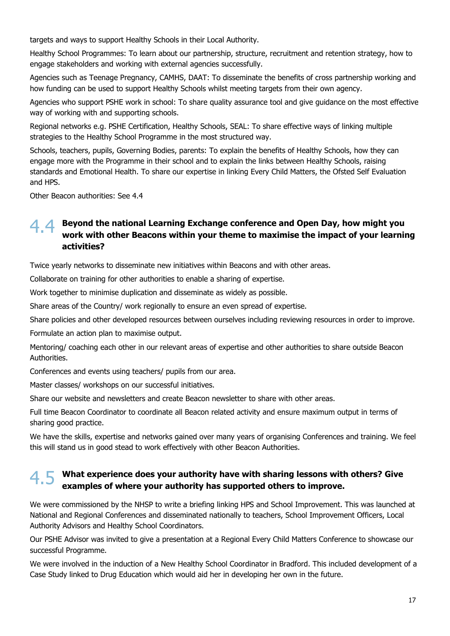targets and ways to support Healthy Schools in their Local Authority.

Healthy School Programmes: To learn about our partnership, structure, recruitment and retention strategy, how to engage stakeholders and working with external agencies successfully.

Agencies such as Teenage Pregnancy, CAMHS, DAAT: To disseminate the benefits of cross partnership working and how funding can be used to support Healthy Schools whilst meeting targets from their own agency.

Agencies who support PSHE work in school: To share quality assurance tool and give guidance on the most effective way of working with and supporting schools.

Regional networks e.g. PSHE Certification, Healthy Schools, SEAL: To share effective ways of linking multiple strategies to the Healthy School Programme in the most structured way.

Schools, teachers, pupils, Governing Bodies, parents: To explain the benefits of Healthy Schools, how they can engage more with the Programme in their school and to explain the links between Healthy Schools, raising standards and Emotional Health. To share our expertise in linking Every Child Matters, the Ofsted Self Evaluation and HPS.

Other Beacon authorities: See 4.4

## 44 Beyond the national Learning Exchange conference and Open Day, how might you work with other Beacons within your theme to maximise the impact of your learning activities?

Twice yearly networks to disseminate new initiatives within Beacons and with other areas.

Collaborate on training for other authorities to enable a sharing of expertise.

Work together to minimise duplication and disseminate as widely as possible.

Share areas of the Country/ work regionally to ensure an even spread of expertise.

Share policies and other developed resources between ourselves including reviewing resources in order to improve.

Formulate an action plan to maximise output.

Mentoring/ coaching each other in our relevant areas of expertise and other authorities to share outside Beacon Authorities.

Conferences and events using teachers/ pupils from our area.

Master classes/ workshops on our successful initiatives.

Share our website and newsletters and create Beacon newsletter to share with other areas.

Full time Beacon Coordinator to coordinate all Beacon related activity and ensure maximum output in terms of sharing good practice.

We have the skills, expertise and networks gained over many years of organising Conferences and training. We feel this will stand us in good stead to work effectively with other Beacon Authorities.

## $4.5$  What experience does your authority have with sharing lessons with others? Give examples of where your authority has supported others to improve.

We were commissioned by the NHSP to write a briefing linking HPS and School Improvement. This was launched at National and Regional Conferences and disseminated nationally to teachers, School Improvement Officers, Local Authority Advisors and Healthy School Coordinators.

Our PSHE Advisor was invited to give a presentation at a Regional Every Child Matters Conference to showcase our successful Programme.

We were involved in the induction of a New Healthy School Coordinator in Bradford. This included development of a Case Study linked to Drug Education which would aid her in developing her own in the future.